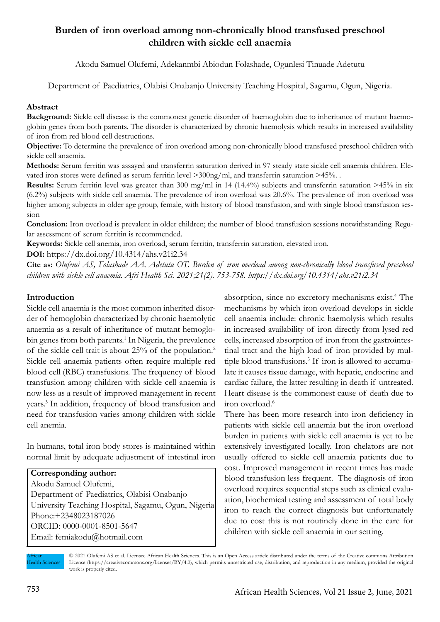# **Burden of iron overload among non-chronically blood transfused preschool children with sickle cell anaemia**

Akodu Samuel Olufemi, Adekanmbi Abiodun Folashade, Ogunlesi Tinuade Adetutu

Department of Paediatrics, Olabisi Onabanjo University Teaching Hospital, Sagamu, Ogun, Nigeria.

#### **Abstract**

**Background:** Sickle cell disease is the commonest genetic disorder of haemoglobin due to inheritance of mutant haemoglobin genes from both parents. The disorder is characterized by chronic haemolysis which results in increased availability of iron from red blood cell destructions.

**Objective:** To determine the prevalence of iron overload among non-chronically blood transfused preschool children with sickle cell anaemia.

**Methods:** Serum ferritin was assayed and transferrin saturation derived in 97 steady state sickle cell anaemia children. Elevated iron stores were defined as serum ferritin level >300ng/ml, and transferrin saturation >45%. .

**Results:** Serum ferritin level was greater than 300 mg/ml in 14 (14.4%) subjects and transferrin saturation >45% in six (6.2%) subjects with sickle cell anaemia. The prevalence of iron overload was 20.6%. The prevalence of iron overload was higher among subjects in older age group, female, with history of blood transfusion, and with single blood transfusion session

**Conclusion:** Iron overload is prevalent in older children; the number of blood transfusion sessions notwithstanding. Regular assessment of serum ferritin is recommended.

**Keywords:** Sickle cell anemia, iron overload, serum ferritin, transferrin saturation, elevated iron.

**DOI:** https://dx.doi.org/10.4314/ahs.v21i2.34

**Cite as:** *Olufemi AS, Folashade AA, Adetutu OT. Burden of iron overload among non-chronically blood transfused preschool children with sickle cell anaemia. Afri Health Sci. 2021;21(2). 753-758. https://dx.doi.org/10.4314/ahs.v21i2.34*

## **Introduction**

Sickle cell anaemia is the most common inherited disorder of hemoglobin characterized by chronic haemolytic anaemia as a result of inheritance of mutant hemoglobin genes from both parents.<sup>1</sup> In Nigeria, the prevalence of the sickle cell trait is about 25% of the population.2 Sickle cell anaemia patients often require multiple red blood cell (RBC) transfusions. The frequency of blood transfusion among children with sickle cell anaemia is now less as a result of improved management in recent years.<sup>3</sup> In addition, frequency of blood transfusion and need for transfusion varies among children with sickle cell anemia.

In humans, total iron body stores is maintained within normal limit by adequate adjustment of intestinal iron

## **Corresponding author:**  Akodu Samuel Olufemi,

Department of Paediatrics, Olabisi Onabanjo University Teaching Hospital, Sagamu, Ogun, Nigeria Phone:+2348023187026 ORCID: 0000-0001-8501-5647 Email: femiakodu@hotmail.com

absorption, since no excretory mechanisms exist.<sup>4</sup> The mechanisms by which iron overload develops in sickle cell anaemia include: chronic haemolysis which results in increased availability of iron directly from lysed red cells, increased absorption of iron from the gastrointestinal tract and the high load of iron provided by multiple blood transfusions.<sup>5</sup> If iron is allowed to accumulate it causes tissue damage, with hepatic, endocrine and cardiac failure, the latter resulting in death if untreated. Heart disease is the commonest cause of death due to iron overload.<sup>6</sup>

There has been more research into iron deficiency in patients with sickle cell anaemia but the iron overload burden in patients with sickle cell anaemia is yet to be extensively investigated locally. Iron chelators are not usually offered to sickle cell anaemia patients due to cost. Improved management in recent times has made blood transfusion less frequent. The diagnosis of iron overload requires sequential steps such as clinical evaluation, biochemical testing and assessment of total body iron to reach the correct diagnosis but unfortunately due to cost this is not routinely done in the care for children with sickle cell anaemia in our setting.

African **Health Sciences**  © 2021 Olufemi AS et al. Licensee African Health Sciences. This is an Open Access article distributed under the terms of the Creative commons Attribution License (https://creativecommons.org/licenses/BY/4.0), which permits unrestricted use, distribution, and reproduction in any medium, provided the original work is properly cited.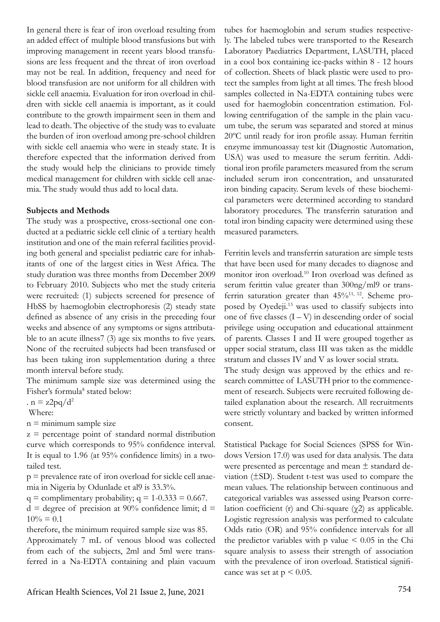In general there is fear of iron overload resulting from an added effect of multiple blood transfusions but with improving management in recent years blood transfusions are less frequent and the threat of iron overload may not be real. In addition, frequency and need for blood transfusion are not uniform for all children with sickle cell anaemia. Evaluation for iron overload in children with sickle cell anaemia is important, as it could contribute to the growth impairment seen in them and lead to death. The objective of the study was to evaluate the burden of iron overload among pre-school children with sickle cell anaemia who were in steady state. It is therefore expected that the information derived from the study would help the clinicians to provide timely medical management for children with sickle cell anaemia. The study would thus add to local data.

#### **Subjects and Methods**

The study was a prospective, cross-sectional one conducted at a pediatric sickle cell clinic of a tertiary health institution and one of the main referral facilities providing both general and specialist pediatric care for inhabitants of one of the largest cities in West Africa. The study duration was three months from December 2009 to February 2010. Subjects who met the study criteria were recruited: (1) subjects screened for presence of HbSS by haemoglobin electrophoresis (2) steady state defined as absence of any crisis in the preceding four weeks and absence of any symptoms or signs attributable to an acute illness7 (3) age six months to five years. None of the recruited subjects had been transfused or has been taking iron supplementation during a three month interval before study.

The minimum sample size was determined using the Fisher's formula<sup>8</sup> stated below:

.  $n = z2pq/d^2$ 

Where:

 $n =$  minimum sample size

 $z =$  percentage point of standard normal distribution curve which corresponds to 95% confidence interval. It is equal to 1.96 (at 95% confidence limits) in a twotailed test.

p = prevalence rate of iron overload for sickle cell anaemia in Nigeria by Odunlade et al9 is 33.3%.

 $q =$  complimentary probability;  $q = 1-0.333 = 0.667$ .

 $d = degree of precision at 90\% confidence limit; d =$  $10\% = 0.1$ 

therefore, the minimum required sample size was 85. Approximately 7 mL of venous blood was collected from each of the subjects, 2ml and 5ml were transferred in a Na-EDTA containing and plain vacuum

tubes for haemoglobin and serum studies respectively. The labeled tubes were transported to the Research Laboratory Paediatrics Department, LASUTH, placed in a cool box containing ice-packs within 8 - 12 hours of collection. Sheets of black plastic were used to protect the samples from light at all times. The fresh blood samples collected in Na-EDTA containing tubes were used for haemoglobin concentration estimation. Following centrifugation of the sample in the plain vacuum tube, the serum was separated and stored at minus 20ºC until ready for iron profile assay. Human ferritin enzyme immunoassay test kit (Diagnostic Automation, USA) was used to measure the serum ferritin. Additional iron profile parameters measured from the serum included serum iron concentration, and unsaturated iron binding capacity. Serum levels of these biochemical parameters were determined according to standard laboratory procedures. The transferrin saturation and total iron binding capacity were determined using these measured parameters.

Ferritin levels and transferrin saturation are simple tests that have been used for many decades to diagnose and monitor iron overload.10 Iron overload was defined as serum ferittin value greater than 300ng/ml9 or transferrin saturation greater than 45%11, 12. Scheme proposed by Oyedeji.<sup>13</sup> was used to classify subjects into one of five classes  $(I - V)$  in descending order of social privilege using occupation and educational attainment of parents. Classes I and II were grouped together as upper social stratum, class III was taken as the middle stratum and classes IV and V as lower social strata.

The study design was approved by the ethics and research committee of LASUTH prior to the commencement of research. Subjects were recruited following detailed explanation about the research. All recruitments were strictly voluntary and backed by written informed consent.

Statistical Package for Social Sciences (SPSS for Windows Version 17.0) was used for data analysis. The data were presented as percentage and mean  $\pm$  standard deviation (±SD). Student t-test was used to compare the mean values. The relationship between continuous and categorical variables was assessed using Pearson correlation coefficient (r) and Chi-square (χ2) as applicable. Logistic regression analysis was performed to calculate Odds ratio (OR) and 95% confidence intervals for all the predictor variables with p value  $\leq 0.05$  in the Chi square analysis to assess their strength of association with the prevalence of iron overload. Statistical significance was set at  $p < 0.05$ .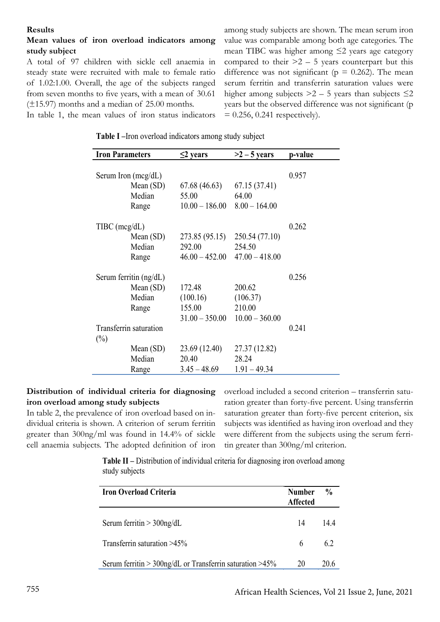#### **Results**

## **Mean values of iron overload indicators among study subject**

A total of 97 children with sickle cell anaemia in steady state were recruited with male to female ratio of 1.02:1.00. Overall, the age of the subjects ranged from seven months to five years, with a mean of 30.61 (±15.97) months and a median of 25.00 months.

value was comparable among both age categories. The mean TIBC was higher among ≤2 years age category compared to their  $>2 - 5$  years counterpart but this difference was not significant ( $p = 0.262$ ). The mean serum ferritin and transferrin saturation values were higher among subjects  $>2 - 5$  years than subjects  $\leq 2$ years but the observed difference was not significant (p  $= 0.256$ , 0.241 respectively).

among study subjects are shown. The mean serum iron

In table 1, the mean values of iron status indicators

| Table I - Iron overload indicators among study subject |  |  |  |
|--------------------------------------------------------|--|--|--|
|                                                        |  |  |  |

| <b>Iron Parameters</b>   | $\leq$ 2 years         | $>2-5$ years           | p-value |
|--------------------------|------------------------|------------------------|---------|
| Serum Iron $(mcg/dL)$    |                        |                        | 0.957   |
| Mean $(SD)$<br>Median    | 67.68 (46.63)<br>55.00 | 67.15 (37.41)<br>64.00 |         |
| Range                    | $10.00 - 186.00$       | $8.00 - 164.00$        |         |
| $T\text{IBC (mcg/dL)}$   |                        |                        | 0.262   |
| Mean $(SD)$              | 273.85 (95.15)         | 250.54 (77.10)         |         |
| Median                   | 292.00                 | 254.50                 |         |
| Range                    | $46.00 - 452.00$       | $47.00 - 418.00$       |         |
| Serum ferritin $(ng/dL)$ |                        |                        | 0.256   |
| Mean $(SD)$              | 172.48                 | 200.62                 |         |
| Median                   | (100.16)               | (106.37)               |         |
| Range                    | 155.00                 | 210.00                 |         |
|                          | $31.00 - 350.00$       | $10.00 - 360.00$       |         |
| Transferrin saturation   |                        |                        | 0.241   |
| $(\%)$                   |                        |                        |         |
| Mean $(SD)$              | 23.69 (12.40)          | 27.37 (12.82)          |         |
| Median                   | 20.40                  | 28.24                  |         |
| Range                    | $3.45 - 48.69$         | $1.91 - 49.34$         |         |

#### **Distribution of individual criteria for diagnosing iron overload among study subjects**

In table 2, the prevalence of iron overload based on individual criteria is shown. A criterion of serum ferritin greater than 300ng/ml was found in 14.4% of sickle cell anaemia subjects. The adopted definition of iron

overload included a second criterion – transferrin saturation greater than forty-five percent. Using transferrin saturation greater than forty-five percent criterion, six subjects was identified as having iron overload and they were different from the subjects using the serum ferritin greater than 300ng/ml criterion.

**Table II –** Distribution of individual criteria for diagnosing iron overload among study subjects

| <b>Iron Overload Criteria</b>                             | <b>Number</b><br><b>Affected</b> | $\frac{0}{n}$ |
|-----------------------------------------------------------|----------------------------------|---------------|
| Serum ferritin $>$ 300ng/dL                               | 14                               | 144           |
| Transferrin saturation >45%                               | 6                                | 62            |
| Serum ferritin > 300ng/dL or Transferrin saturation > 45% | 20                               | 20.6          |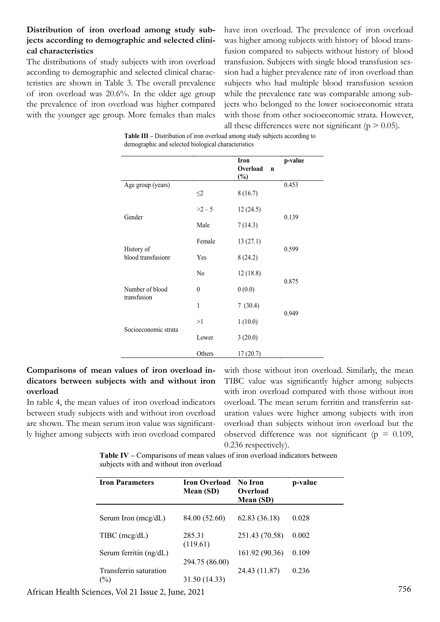# **Distribution of iron overload among study subjects according to demographic and selected clinical characteristics**

The distributions of study subjects with iron overload according to demographic and selected clinical characteristics are shown in Table 3. The overall prevalence of iron overload was 20.6%. In the older age group the prevalence of iron overload was higher compared with the younger age group. More females than males

have iron overload. The prevalence of iron overload was higher among subjects with history of blood transfusion compared to subjects without history of blood transfusion. Subjects with single blood transfusion session had a higher prevalence rate of iron overload than subjects who had multiple blood transfusion session while the prevalence rate was comparable among subjects who belonged to the lower socioeconomic strata with those from other socioeconomic strata. However, all these differences were not significant ( $p > 0.05$ ).

|                                  |                | <b>Iron</b><br>Overload<br>$\mathbf n$<br>$(\%)$ | p-value |  |
|----------------------------------|----------------|--------------------------------------------------|---------|--|
| Age group (years)                | $\leq$ 2       | 8(16.7)                                          | 0.453   |  |
|                                  | $>2-5$         | 12(24.5)                                         |         |  |
| Gender                           | Male           | 7(14.3)                                          | 0.139   |  |
|                                  | Female         | 13(27.1)                                         |         |  |
| History of<br>blood transfusionr | Yes            | 8(24.2)                                          | 0.599   |  |
|                                  | N <sub>0</sub> | 12(18.8)                                         |         |  |
| Number of blood                  | $\mathbf{0}$   | 0(0.0)                                           | 0.875   |  |
| transfusion                      | $\mathbf{1}$   | 7(30.4)                                          |         |  |
|                                  | >1             | 1(10.0)                                          | 0.949   |  |
| Socioeconomic strata             | Lower          | 3(20.0)                                          |         |  |
|                                  | Others         | 17 (20.7)                                        |         |  |

**Table III –** Distribution of iron overload among study subjects according to demographic and selected biological characteristics

# **Comparisons of mean values of iron overload indicators between subjects with and without iron overload**

In table 4, the mean values of iron overload indicators between study subjects with and without iron overload are shown. The mean serum iron value was significantly higher among subjects with iron overload compared

with those without iron overload. Similarly, the mean TIBC value was significantly higher among subjects with iron overload compared with those without iron overload. The mean serum ferritin and transferrin saturation values were higher among subjects with iron overload than subjects without iron overload but the observed difference was not significant ( $p = 0.109$ , 0.236 respectively).

**Table IV –** Comparisons of mean values of iron overload indicators between subjects with and without iron overload

| <b>Iron Parameters</b>                  | <b>Iron Overload</b><br>Mean (SD) | No Iron<br>Overload<br>Mean (SD) | p-value |
|-----------------------------------------|-----------------------------------|----------------------------------|---------|
| Serum Iron $(mcg/dL)$                   | 84.00 (52.60)                     | 62.83 (36.18)                    | 0.028   |
| $T\text{IBC (mcg/dL)}$                  | 285.31<br>(119.61)                | 251.43 (70.58)                   | 0.002   |
| Serum ferritin $(ng/dL)$                |                                   | 161.92 (90.36)                   | 0.109   |
| Transferrin saturation<br>$\frac{1}{2}$ | 294.75 (86.00)<br>31.50 (14.33)   | 24.43 (11.87)                    | 0.236   |

756 African Health Sciences, Vol 21 Issue 2, June, 2021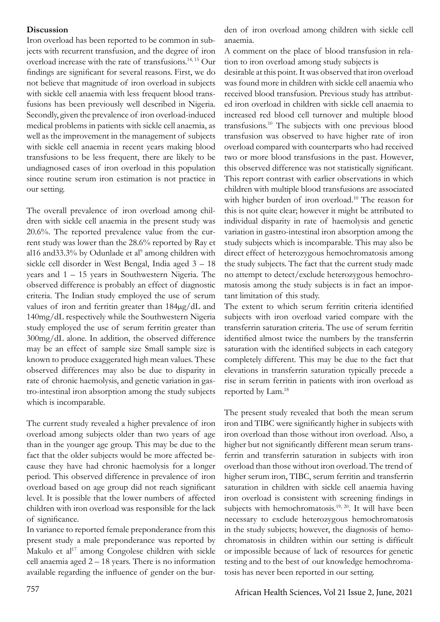#### **Discussion**

Iron overload has been reported to be common in subjects with recurrent transfusion, and the degree of iron overload increase with the rate of transfusions.14, 15 Our findings are significant for several reasons. First, we do not believe that magnitude of iron overload in subjects with sickle cell anaemia with less frequent blood transfusions has been previously well described in Nigeria. Secondly, given the prevalence of iron overload-induced medical problems in patients with sickle cell anaemia, as well as the improvement in the management of subjects with sickle cell anaemia in recent years making blood transfusions to be less frequent, there are likely to be undiagnosed cases of iron overload in this population since routine serum iron estimation is not practice in our setting.

The overall prevalence of iron overload among children with sickle cell anaemia in the present study was 20.6%. The reported prevalence value from the current study was lower than the 28.6% reported by Ray et al16 and 33.3% by Odunlade et al<sup>9</sup> among children with sickle cell disorder in West Bengal, India aged 3 – 18 years and 1 – 15 years in Southwestern Nigeria. The observed difference is probably an effect of diagnostic criteria. The Indian study employed the use of serum values of iron and ferritin greater than 184µg/dL and 140mg/dL respectively while the Southwestern Nigeria study employed the use of serum ferritin greater than 300mg/dL alone. In addition, the observed difference may be an effect of sample size Small sample size is known to produce exaggerated high mean values. These observed differences may also be due to disparity in rate of chronic haemolysis, and genetic variation in gastro-intestinal iron absorption among the study subjects which is incomparable.

The current study revealed a higher prevalence of iron overload among subjects older than two years of age than in the younger age group. This may be due to the fact that the older subjects would be more affected because they have had chronic haemolysis for a longer period. This observed difference in prevalence of iron overload based on age group did not reach significant level. It is possible that the lower numbers of affected children with iron overload was responsible for the lack of significance.

In variance to reported female preponderance from this present study a male preponderance was reported by Makulo et al<sup>17</sup> among Congolese children with sickle cell anaemia aged 2 – 18 years. There is no information available regarding the influence of gender on the burden of iron overload among children with sickle cell anaemia.

A comment on the place of blood transfusion in relation to iron overload among study subjects is

desirable at this point. It was observed that iron overload was found more in children with sickle cell anaemia who received blood transfusion. Previous study has attributed iron overload in children with sickle cell anaemia to increased red blood cell turnover and multiple blood transfusions.<sup>10</sup> The subjects with one previous blood transfusion was observed to have higher rate of iron overload compared with counterparts who had received two or more blood transfusions in the past. However, this observed difference was not statistically significant. This report contrast with earlier observations in which children with multiple blood transfusions are associated with higher burden of iron overload.<sup>10</sup> The reason for this is not quite clear; however it might be attributed to individual disparity in rate of haemolysis and genetic variation in gastro-intestinal iron absorption among the study subjects which is incomparable. This may also be direct effect of heterozygous hemochromatosis among the study subjects. The fact that the current study made no attempt to detect/exclude heterozygous hemochromatosis among the study subjects is in fact an important limitation of this study.

The extent to which serum ferritin criteria identified subjects with iron overload varied compare with the transferrin saturation criteria. The use of serum ferritin identified almost twice the numbers by the transferrin saturation with the identified subjects in each category completely different. This may be due to the fact that elevations in transferrin saturation typically precede a rise in serum ferritin in patients with iron overload as reported by Lam.18

The present study revealed that both the mean serum iron and TIBC were significantly higher in subjects with iron overload than those without iron overload. Also, a higher but not significantly different mean serum transferrin and transferrin saturation in subjects with iron overload than those without iron overload. The trend of higher serum iron, TIBC, serum ferritin and transferrin saturation in children with sickle cell anaemia having iron overload is consistent with screening findings in subjects with hemochromatosis.<sup>19, 20</sup>. It will have been necessary to exclude heterozygous hemochromatosis in the study subjects; however, the diagnosis of hemochromatosis in children within our setting is difficult or impossible because of lack of resources for genetic testing and to the best of our knowledge hemochromatosis has never been reported in our setting.